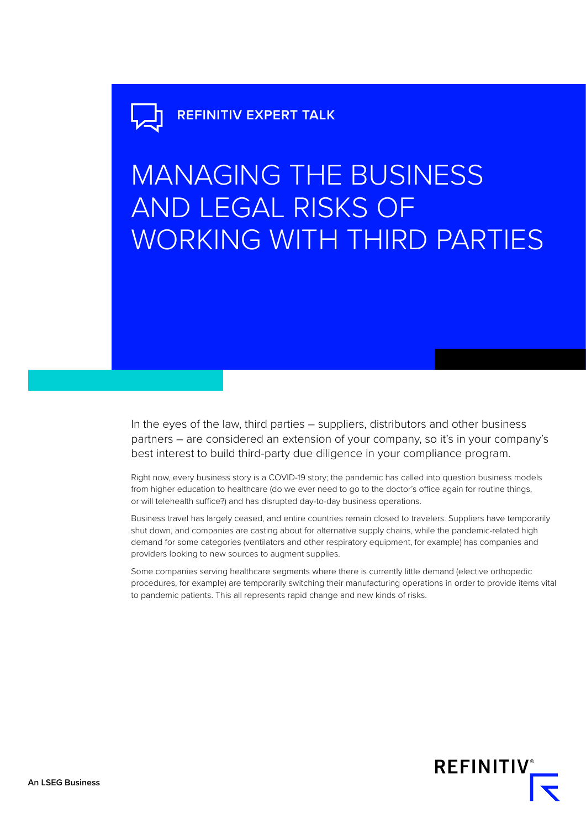# **REFINITIV EXPERT TALK**

# MANAGING THE BUSINESS AND LEGAL RISKS OF WORKING WITH THIRD PARTIES

In the eyes of the law, third parties – suppliers, distributors and other business partners – are considered an extension of your company, so it's in your company's best interest to build third-party due diligence in your compliance program.

Right now, every business story is a COVID-19 story; the pandemic has called into question business models from higher education to healthcare (do we ever need to go to the doctor's office again for routine things, or will telehealth suffice?) and has disrupted day-to-day business operations.

Business travel has largely ceased, and entire countries remain closed to travelers. Suppliers have temporarily shut down, and companies are casting about for alternative supply chains, while the pandemic-related high demand for some categories (ventilators and other respiratory equipment, for example) has companies and providers looking to new sources to augment supplies.

Some companies serving healthcare segments where there is currently little demand (elective orthopedic procedures, for example) are temporarily switching their manufacturing operations in order to provide items vital to pandemic patients. This all represents rapid change and new kinds of risks.

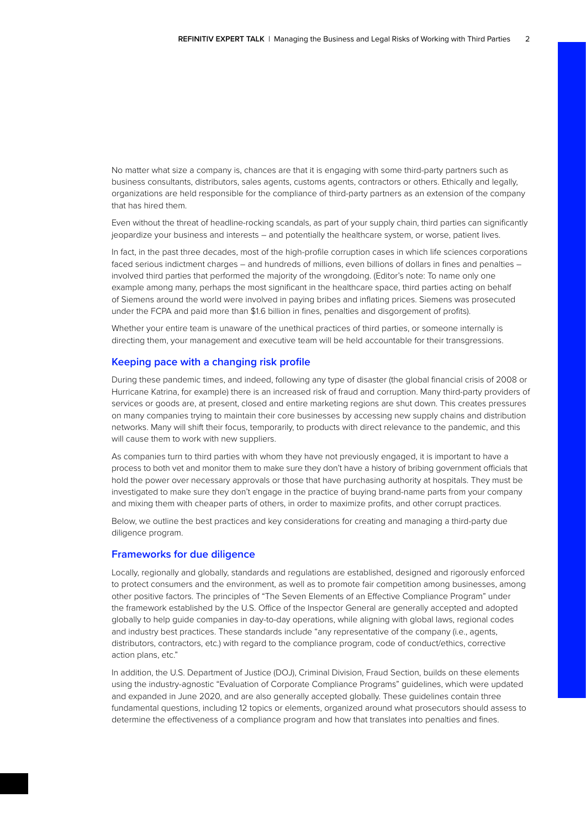No matter what size a company is, chances are that it is engaging with some third-party partners such as business consultants, distributors, sales agents, customs agents, contractors or others. Ethically and legally, organizations are held responsible for the compliance of third-party partners as an extension of the company that has hired them.

Even without the threat of headline-rocking scandals, as part of your supply chain, third parties can significantly jeopardize your business and interests – and potentially the healthcare system, or worse, patient lives.

In fact, in the past three decades, most of the high-profile corruption cases in which life sciences corporations faced serious indictment charges – and hundreds of millions, even billions of dollars in fines and penalties – involved third parties that performed the majority of the wrongdoing. (Editor's note: To name only one example among many, perhaps the most significant in the healthcare space, third parties acting on behalf of Siemens around the world were involved in paying bribes and inflating prices. Siemens was prosecuted under the FCPA and paid more than \$1.6 billion in fines, penalties and disgorgement of profits).

Whether your entire team is unaware of the unethical practices of third parties, or someone internally is directing them, your management and executive team will be held accountable for their transgressions.

#### **Keeping pace with a changing risk profile**

During these pandemic times, and indeed, following any type of disaster (the global financial crisis of 2008 or Hurricane Katrina, for example) there is an increased risk of fraud and corruption. Many third-party providers of services or goods are, at present, closed and entire marketing regions are shut down. This creates pressures on many companies trying to maintain their core businesses by accessing new supply chains and distribution networks. Many will shift their focus, temporarily, to products with direct relevance to the pandemic, and this will cause them to work with new suppliers.

As companies turn to third parties with whom they have not previously engaged, it is important to have a process to both vet and monitor them to make sure they don't have a history of bribing government officials that hold the power over necessary approvals or those that have purchasing authority at hospitals. They must be investigated to make sure they don't engage in the practice of buying brand-name parts from your company and mixing them with cheaper parts of others, in order to maximize profits, and other corrupt practices.

Below, we outline the best practices and key considerations for creating and managing a third-party due diligence program.

#### **Frameworks for due diligence**

Locally, regionally and globally, standards and regulations are established, designed and rigorously enforced to protect consumers and the environment, as well as to promote fair competition among businesses, among other positive factors. The principles of "The Seven Elements of an Effective Compliance Program" under the framework established by the U.S. Office of the Inspector General are generally accepted and adopted globally to help guide companies in day-to-day operations, while aligning with global laws, regional codes and industry best practices. These standards include "any representative of the company (i.e., agents, distributors, contractors, etc.) with regard to the compliance program, code of conduct/ethics, corrective action plans, etc."

In addition, the U.S. Department of Justice (DOJ), Criminal Division, Fraud Section, builds on these elements using the industry-agnostic "Evaluation of Corporate Compliance Programs" guidelines, which were updated and expanded in June 2020, and are also generally accepted globally. These guidelines contain three fundamental questions, including 12 topics or elements, organized around what prosecutors should assess to determine the effectiveness of a compliance program and how that translates into penalties and fines.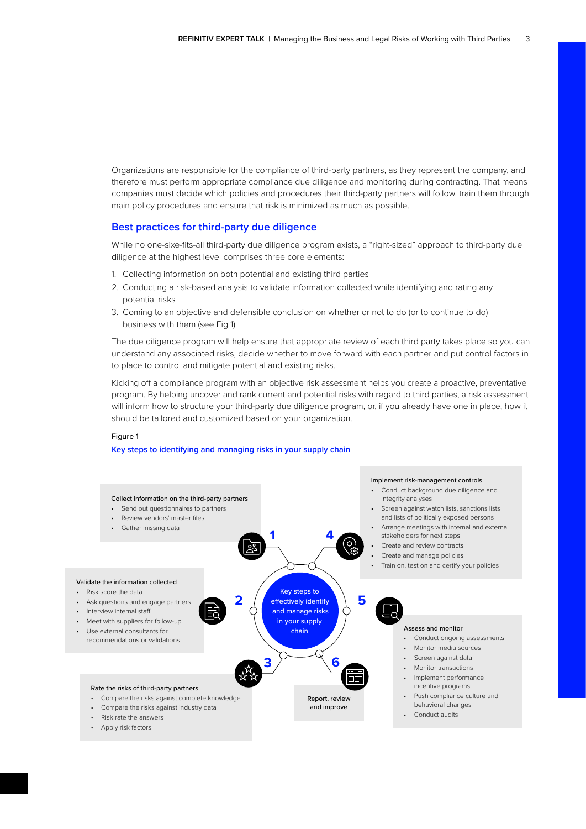Organizations are responsible for the compliance of third-party partners, as they represent the company, and therefore must perform appropriate compliance due diligence and monitoring during contracting. That means companies must decide which policies and procedures their third-party partners will follow, train them through main policy procedures and ensure that risk is minimized as much as possible.

#### **Best practices for third-party due diligence**

While no one-sixe-fits-all third-party due diligence program exists, a "right-sized" approach to third-party due diligence at the highest level comprises three core elements:

- 1. Collecting information on both potential and existing third parties
- 2. Conducting a risk-based analysis to validate information collected while identifying and rating any potential risks
- 3. Coming to an objective and defensible conclusion on whether or not to do (or to continue to do) business with them (see Fig 1)

The due diligence program will help ensure that appropriate review of each third party takes place so you can understand any associated risks, decide whether to move forward with each partner and put control factors in to place to control and mitigate potential and existing risks.

Kicking off a compliance program with an objective risk assessment helps you create a proactive, preventative program. By helping uncover and rank current and potential risks with regard to third parties, a risk assessment will inform how to structure your third-party due diligence program, or, if you already have one in place, how it should be tailored and customized based on your organization.

#### Figure 1

#### **Key steps to identifying and managing risks in your supply chain**

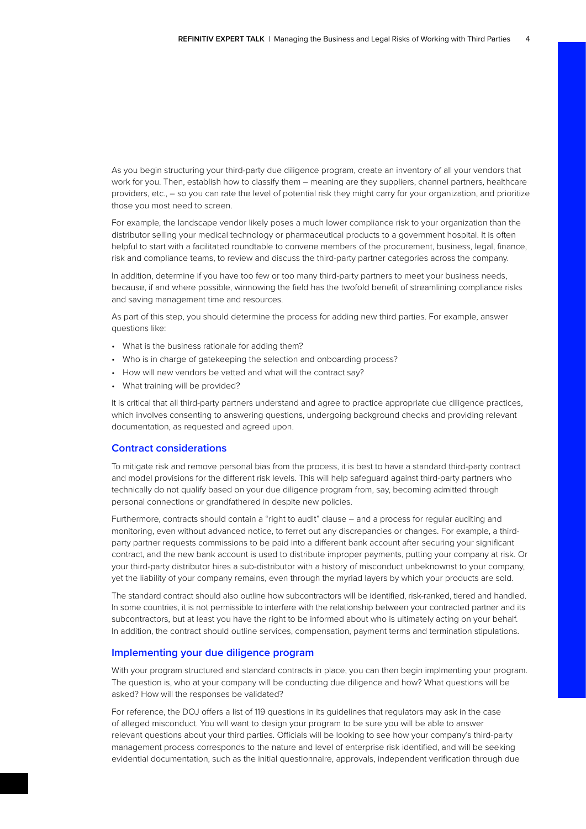As you begin structuring your third-party due diligence program, create an inventory of all your vendors that work for you. Then, establish how to classify them – meaning are they suppliers, channel partners, healthcare providers, etc., – so you can rate the level of potential risk they might carry for your organization, and prioritize those you most need to screen.

For example, the landscape vendor likely poses a much lower compliance risk to your organization than the distributor selling your medical technology or pharmaceutical products to a government hospital. It is often helpful to start with a facilitated roundtable to convene members of the procurement, business, legal, finance, risk and compliance teams, to review and discuss the third-party partner categories across the company.

In addition, determine if you have too few or too many third-party partners to meet your business needs, because, if and where possible, winnowing the field has the twofold benefit of streamlining compliance risks and saving management time and resources.

As part of this step, you should determine the process for adding new third parties. For example, answer questions like:

- What is the business rationale for adding them?
- Who is in charge of gatekeeping the selection and onboarding process?
- How will new vendors be vetted and what will the contract say?
- What training will be provided?

It is critical that all third-party partners understand and agree to practice appropriate due diligence practices, which involves consenting to answering questions, undergoing background checks and providing relevant documentation, as requested and agreed upon.

## **Contract considerations**

To mitigate risk and remove personal bias from the process, it is best to have a standard third-party contract and model provisions for the different risk levels. This will help safeguard against third-party partners who technically do not qualify based on your due diligence program from, say, becoming admitted through personal connections or grandfathered in despite new policies.

Furthermore, contracts should contain a "right to audit" clause – and a process for regular auditing and monitoring, even without advanced notice, to ferret out any discrepancies or changes. For example, a thirdparty partner requests commissions to be paid into a different bank account after securing your significant contract, and the new bank account is used to distribute improper payments, putting your company at risk. Or your third-party distributor hires a sub-distributor with a history of misconduct unbeknownst to your company, yet the liability of your company remains, even through the myriad layers by which your products are sold.

The standard contract should also outline how subcontractors will be identified, risk-ranked, tiered and handled. In some countries, it is not permissible to interfere with the relationship between your contracted partner and its subcontractors, but at least you have the right to be informed about who is ultimately acting on your behalf. In addition, the contract should outline services, compensation, payment terms and termination stipulations.

## **Implementing your due diligence program**

With your program structured and standard contracts in place, you can then begin implmenting your program. The question is, who at your company will be conducting due diligence and how? What questions will be asked? How will the responses be validated?

For reference, the DOJ offers a list of 119 questions in its guidelines that regulators may ask in the case of alleged misconduct. You will want to design your program to be sure you will be able to answer relevant questions about your third parties. Officials will be looking to see how your company's third-party management process corresponds to the nature and level of enterprise risk identified, and will be seeking evidential documentation, such as the initial questionnaire, approvals, independent verification through due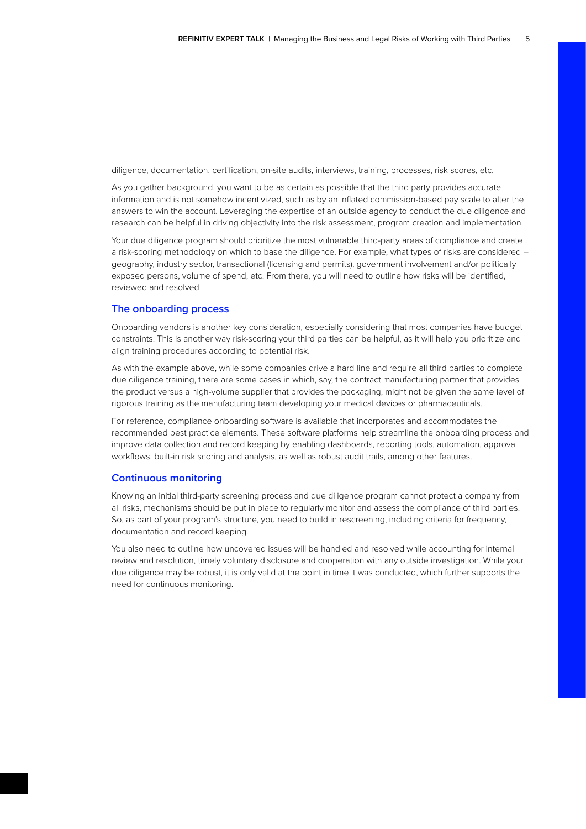diligence, documentation, certification, on-site audits, interviews, training, processes, risk scores, etc.

As you gather background, you want to be as certain as possible that the third party provides accurate information and is not somehow incentivized, such as by an inflated commission-based pay scale to alter the answers to win the account. Leveraging the expertise of an outside agency to conduct the due diligence and research can be helpful in driving objectivity into the risk assessment, program creation and implementation.

Your due diligence program should prioritize the most vulnerable third-party areas of compliance and create a risk-scoring methodology on which to base the diligence. For example, what types of risks are considered – geography, industry sector, transactional (licensing and permits), government involvement and/or politically exposed persons, volume of spend, etc. From there, you will need to outline how risks will be identified, reviewed and resolved.

## **The onboarding process**

Onboarding vendors is another key consideration, especially considering that most companies have budget constraints. This is another way risk-scoring your third parties can be helpful, as it will help you prioritize and align training procedures according to potential risk.

As with the example above, while some companies drive a hard line and require all third parties to complete due diligence training, there are some cases in which, say, the contract manufacturing partner that provides the product versus a high-volume supplier that provides the packaging, might not be given the same level of rigorous training as the manufacturing team developing your medical devices or pharmaceuticals.

For reference, compliance onboarding software is available that incorporates and accommodates the recommended best practice elements. These software platforms help streamline the onboarding process and improve data collection and record keeping by enabling dashboards, reporting tools, automation, approval workflows, built-in risk scoring and analysis, as well as robust audit trails, among other features.

## **Continuous monitoring**

Knowing an initial third-party screening process and due diligence program cannot protect a company from all risks, mechanisms should be put in place to regularly monitor and assess the compliance of third parties. So, as part of your program's structure, you need to build in rescreening, including criteria for frequency, documentation and record keeping.

You also need to outline how uncovered issues will be handled and resolved while accounting for internal review and resolution, timely voluntary disclosure and cooperation with any outside investigation. While your due diligence may be robust, it is only valid at the point in time it was conducted, which further supports the need for continuous monitoring.